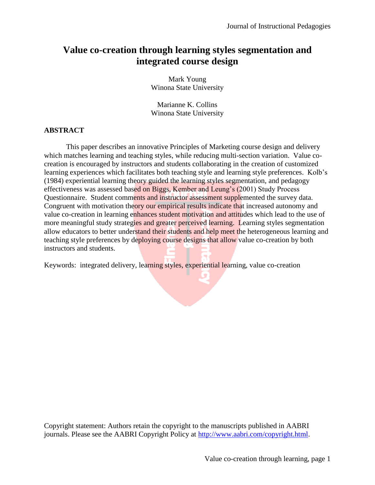# **Value co-creation through learning styles segmentation and integrated course design**

Mark Young Winona State University

Marianne K. Collins Winona State University

#### **ABSTRACT**

This paper describes an innovative Principles of Marketing course design and delivery which matches learning and teaching styles, while reducing multi-section variation. Value cocreation is encouraged by instructors and students collaborating in the creation of customized learning experiences which facilitates both teaching style and learning style preferences. Kolb's (1984) experiential learning theory guided the learning styles segmentation, and pedagogy effectiveness was assessed based on Biggs, Kember and Leung's (2001) Study Process Questionnaire. Student comments and instructor assessment supplemented the survey data. Congruent with motivation theory our empirical results indicate that increased autonomy and value co-creation in learning enhances student motivation and attitudes which lead to the use of more meaningful study strategies and greater perceived learning. Learning styles segmentation allow educators to better understand their students and help meet the heterogeneous learning and teaching style preferences by deploying course designs that allow value co-creation by both instructors and students.

Keywords: integrated delivery, learning styles, experiential learning, value co-creation

Copyright statement: Authors retain the copyright to the manuscripts published in AABRI journals. Please see the AABRI Copyright Policy at [http://www.aabri.com/copyright.html.](http://www.aabri.com/copyright.html)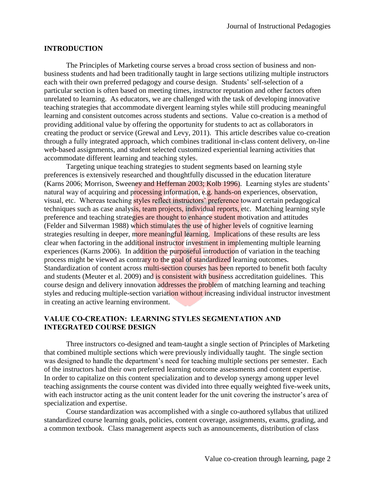#### **INTRODUCTION**

The Principles of Marketing course serves a broad cross section of business and nonbusiness students and had been traditionally taught in large sections utilizing multiple instructors each with their own preferred pedagogy and course design. Students' self-selection of a particular section is often based on meeting times, instructor reputation and other factors often unrelated to learning. As educators, we are challenged with the task of developing innovative teaching strategies that accommodate divergent learning styles while still producing meaningful learning and consistent outcomes across students and sections. Value co-creation is a method of providing additional value by offering the opportunity for students to act as collaborators in creating the product or service (Grewal and Levy, 2011). This article describes value co-creation through a fully integrated approach, which combines traditional in-class content delivery, on-line web-based assignments, and student selected customized experiential learning activities that accommodate different learning and teaching styles.

Targeting unique teaching strategies to student segments based on learning style preferences is extensively researched and thoughtfully discussed in the education literature (Karns 2006; Morrison, Sweeney and Heffernan 2003; Kolb 1996). Learning styles are students' natural way of acquiring and processing information, e.g. hands-on experiences, observation, visual, etc. Whereas teaching styles reflect instructors' preference toward certain pedagogical techniques such as case analysis, team projects, individual reports, etc. Matching learning style preference and teaching strategies are thought to enhance student motivation and attitudes (Felder and Silverman 1988) which stimulates the use of higher levels of cognitive learning strategies resulting in deeper, more meaningful learning. Implications of these results are less clear when factoring in the additional instructor investment in implementing multiple learning experiences (Karns 2006). In addition the purposeful introduction of variation in the teaching process might be viewed as contrary to the goal of standardized learning outcomes. Standardization of content across multi-section courses has been reported to benefit both faculty and students (Meuter et al. 2009) and is consistent with business accreditation guidelines. This course design and delivery innovation addresses the problem of matching learning and teaching styles and reducing multiple-section variation without increasing individual instructor investment in creating an active learning environment.

#### **VALUE CO-CREATION: LEARNING STYLES SEGMENTATION AND INTEGRATED COURSE DESIGN**

Three instructors co-designed and team-taught a single section of Principles of Marketing that combined multiple sections which were previously individually taught. The single section was designed to handle the department's need for teaching multiple sections per semester. Each of the instructors had their own preferred learning outcome assessments and content expertise. In order to capitalize on this content specialization and to develop synergy among upper level teaching assignments the course content was divided into three equally weighted five-week units, with each instructor acting as the unit content leader for the unit covering the instructor's area of specialization and expertise.

Course standardization was accomplished with a single co-authored syllabus that utilized standardized course learning goals, policies, content coverage, assignments, exams, grading, and a common textbook. Class management aspects such as announcements, distribution of class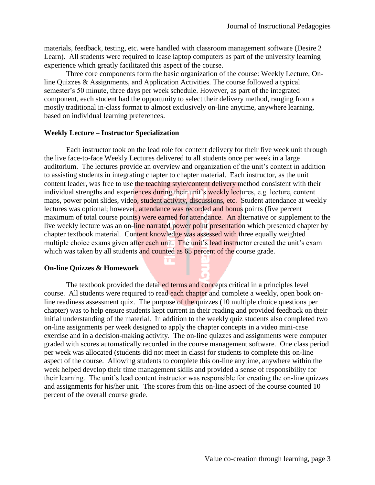materials, feedback, testing, etc. were handled with classroom management software (Desire 2 Learn). All students were required to lease laptop computers as part of the university learning experience which greatly facilitated this aspect of the course.

Three core components form the basic organization of the course: Weekly Lecture, Online Quizzes & Assignments, and Application Activities. The course followed a typical semester's 50 minute, three days per week schedule. However, as part of the integrated component, each student had the opportunity to select their delivery method, ranging from a mostly traditional in-class format to almost exclusively on-line anytime, anywhere learning, based on individual learning preferences.

#### **Weekly Lecture – Instructor Specialization**

Each instructor took on the lead role for content delivery for their five week unit through the live face-to-face Weekly Lectures delivered to all students once per week in a large auditorium. The lectures provide an overview and organization of the unit's content in addition to assisting students in integrating chapter to chapter material. Each instructor, as the unit content leader, was free to use the teaching style/content delivery method consistent with their individual strengths and experiences during their unit's weekly lectures, e.g. lecture, content maps, power point slides, video, student activity, discussions, etc. Student attendance at weekly lectures was optional; however, attendance was recorded and bonus points (five percent maximum of total course points) were earned for attendance. An alternative or supplement to the live weekly lecture was an on-line narrated power point presentation which presented chapter by chapter textbook material. Content knowledge was assessed with three equally weighted multiple choice exams given after each unit. The unit's lead instructor created the unit's exam which was taken by all students and counted as 65 percent of the course grade.

#### **On-line Quizzes & Homework**

The textbook provided the detailed terms and concepts critical in a principles level course. All students were required to read each chapter and complete a weekly, open book online readiness assessment quiz. The purpose of the quizzes (10 multiple choice questions per chapter) was to help ensure students kept current in their reading and provided feedback on their initial understanding of the material. In addition to the weekly quiz students also completed two on-line assignments per week designed to apply the chapter concepts in a video mini-case exercise and in a decision-making activity. The on-line quizzes and assignments were computer graded with scores automatically recorded in the course management software. One class period per week was allocated (students did not meet in class) for students to complete this on-line aspect of the course. Allowing students to complete this on-line anytime, anywhere within the week helped develop their time management skills and provided a sense of responsibility for their learning. The unit's lead content instructor was responsible for creating the on-line quizzes and assignments for his/her unit. The scores from this on-line aspect of the course counted 10 percent of the overall course grade.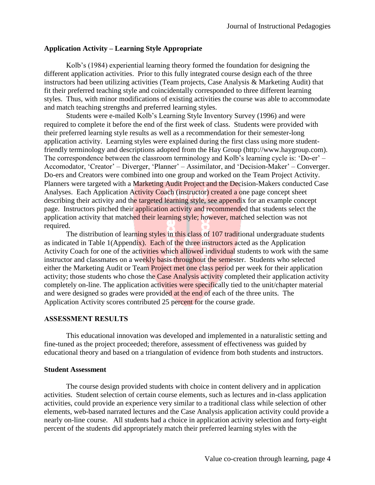#### **Application Activity – Learning Style Appropriate**

Kolb's (1984) experiential learning theory formed the foundation for designing the different application activities. Prior to this fully integrated course design each of the three instructors had been utilizing activities (Team projects, Case Analysis & Marketing Audit) that fit their preferred teaching style and coincidentally corresponded to three different learning styles. Thus, with minor modifications of existing activities the course was able to accommodate and match teaching strengths and preferred learning styles.

Students were e-mailed Kolb's Learning Style Inventory Survey (1996) and were required to complete it before the end of the first week of class. Students were provided with their preferred learning style results as well as a recommendation for their semester-long application activity. Learning styles were explained during the first class using more studentfriendly terminology and descriptions adopted from the Hay Group (http://www.haygroup.com). The correspondence between the classroom terminology and Kolb's learning cycle is: 'Do-er' – Accomodator, 'Creator' – Diverger, 'Planner' – Assimilator, and 'Decision-Maker' – Converger. Do-ers and Creators were combined into one group and worked on the Team Project Activity. Planners were targeted with a Marketing Audit Project and the Decision-Makers conducted Case Analyses. Each Application Activity Coach (instructor) created a one page concept sheet describing their activity and the targeted learning style, see appendix for an example concept page. Instructors pitched their application activity and recommended that students select the application activity that matched their learning style; however, matched selection was not required.

The distribution of learning styles in this class of 107 traditional undergraduate students as indicated in Table 1(Appendix). Each of the three instructors acted as the Application Activity Coach for one of the activities which allowed individual students to work with the same instructor and classmates on a weekly basis throughout the semester. Students who selected either the Marketing Audit or Team Project met one class period per week for their application activity; those students who chose the Case Analysis activity completed their application activity completely on-line. The application activities were specifically tied to the unit/chapter material and were designed so grades were provided at the end of each of the three units. The Application Activity scores contributed 25 percent for the course grade.

#### **ASSESSMENT RESULTS**

This educational innovation was developed and implemented in a naturalistic setting and fine-tuned as the project proceeded; therefore, assessment of effectiveness was guided by educational theory and based on a triangulation of evidence from both students and instructors.

#### **Student Assessment**

The course design provided students with choice in content delivery and in application activities. Student selection of certain course elements, such as lectures and in-class application activities, could provide an experience very similar to a traditional class while selection of other elements, web-based narrated lectures and the Case Analysis application activity could provide a nearly on-line course. All students had a choice in application activity selection and forty-eight percent of the students did appropriately match their preferred learning styles with the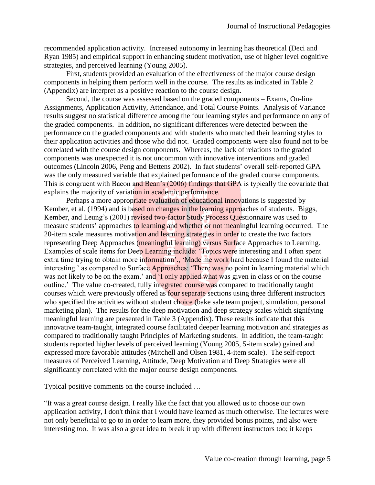recommended application activity. Increased autonomy in learning has theoretical (Deci and Ryan 1985) and empirical support in enhancing student motivation, use of higher level cognitive strategies, and perceived learning (Young 2005).

First, students provided an evaluation of the effectiveness of the major course design components in helping them perform well in the course. The results as indicated in Table 2 (Appendix) are interpret as a positive reaction to the course design.

Second, the course was assessed based on the graded components – Exams, On-line Assignments, Application Activity, Attendance, and Total Course Points. Analysis of Variance results suggest no statistical difference among the four learning styles and performance on any of the graded components. In addition, no significant differences were detected between the performance on the graded components and with students who matched their learning styles to their application activities and those who did not. Graded components were also found not to be correlated with the course design components. Whereas, the lack of relations to the graded components was unexpected it is not uncommon with innovative interventions and graded outcomes (Lincoln 2006, Peng and Bettens 2002). In fact students' overall self-reported GPA was the only measured variable that explained performance of the graded course components. This is congruent with Bacon and Bean's (2006) findings that GPA is typically the covariate that explains the majority of variation in academic performance.

Perhaps a more appropriate evaluation of educational innovations is suggested by Kember, et al. (1994) and is based on changes in the learning approaches of students. Biggs, Kember, and Leung's (2001) revised two-factor Study Process Questionnaire was used to measure students' approaches to learning and whether or not meaningful learning occurred. The 20-item scale measures motivation and learning strategies in order to create the two factors representing Deep Approaches (meaningful learning) versus Surface Approaches to Learning. Examples of scale items for Deep Learning include: 'Topics were interesting and I often spent extra time trying to obtain more information'., 'Made me work hard because I found the material interesting.' as compared to Surface Approaches: 'There was no point in learning material which was not likely to be on the exam.' and 'I only applied what was given in class or on the course outline.' The value co-created, fully integrated course was compared to traditionally taught courses which were previously offered as four separate sections using three different instructors who specified the activities without student choice (bake sale team project, simulation, personal marketing plan). The results for the deep motivation and deep strategy scales which signifying meaningful learning are presented in Table 3 (Appendix). These results indicate that this innovative team-taught, integrated course facilitated deeper learning motivation and strategies as compared to traditionally taught Principles of Marketing students. In addition, the team-taught students reported higher levels of perceived learning (Young 2005, 5-item scale) gained and expressed more favorable attitudes (Mitchell and Olsen 1981, 4-item scale). The self-report measures of Perceived Learning, Attitude, Deep Motivation and Deep Strategies were all significantly correlated with the major course design components.

Typical positive comments on the course included …

"It was a great course design. I really like the fact that you allowed us to choose our own application activity, I don't think that I would have learned as much otherwise. The lectures were not only beneficial to go to in order to learn more, they provided bonus points, and also were interesting too. It was also a great idea to break it up with different instructors too; it keeps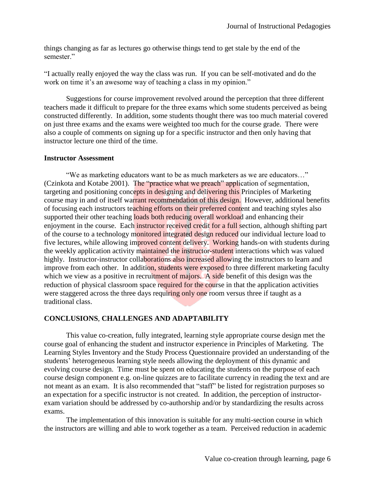things changing as far as lectures go otherwise things tend to get stale by the end of the semester."

"I actually really enjoyed the way the class was run. If you can be self-motivated and do the work on time it's an awesome way of teaching a class in my opinion."

Suggestions for course improvement revolved around the perception that three different teachers made it difficult to prepare for the three exams which some students perceived as being constructed differently. In addition, some students thought there was too much material covered on just three exams and the exams were weighted too much for the course grade. There were also a couple of comments on signing up for a specific instructor and then only having that instructor lecture one third of the time.

#### **Instructor Assessment**

"We as marketing educators want to be as much marketers as we are educators…" (Czinkota and Kotabe 2001). The "practice what we preach" application of segmentation, targeting and positioning concepts in designing and delivering this Principles of Marketing course may in and of itself warrant recommendation of this design. However, additional benefits of focusing each instructors teaching efforts on their preferred content and teaching styles also supported their other teaching loads both reducing overall workload and enhancing their enjoyment in the course. Each instructor received credit for a full section, although shifting part of the course to a technology monitored integrated design reduced our individual lecture load to five lectures, while allowing improved content delivery. Working hands-on with students during the weekly application activity maintained the instructor-student interactions which was valued highly. Instructor-instructor collaborations also increased allowing the instructors to learn and improve from each other. In addition, students were exposed to three different marketing faculty which we view as a positive in recruitment of majors. A side benefit of this design was the reduction of physical classroom space required for the course in that the application activities were staggered across the three days requiring only one room versus three if taught as a traditional class.

### **CONCLUSIONS**, **CHALLENGES AND ADAPTABILITY**

This value co-creation, fully integrated, learning style appropriate course design met the course goal of enhancing the student and instructor experience in Principles of Marketing. The Learning Styles Inventory and the Study Process Questionnaire provided an understanding of the students' heterogeneous learning style needs allowing the deployment of this dynamic and evolving course design. Time must be spent on educating the students on the purpose of each course design component e.g. on-line quizzes are to facilitate currency in reading the text and are not meant as an exam. It is also recommended that "staff" be listed for registration purposes so an expectation for a specific instructor is not created. In addition, the perception of instructorexam variation should be addressed by co-authorship and/or by standardizing the results across exams.

The implementation of this innovation is suitable for any multi-section course in which the instructors are willing and able to work together as a team. Perceived reduction in academic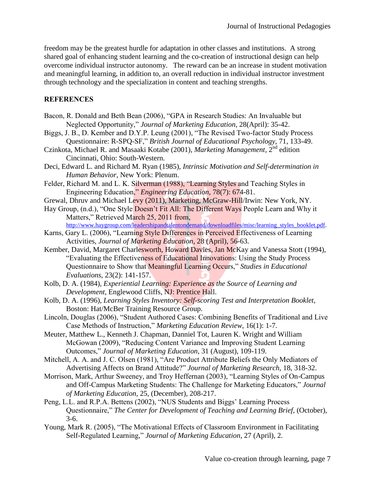freedom may be the greatest hurdle for adaptation in other classes and institutions. A strong shared goal of enhancing student learning and the co-creation of instructional design can help overcome individual instructor autonomy. The reward can be an increase in student motivation and meaningful learning, in addition to, an overall reduction in individual instructor investment through technology and the specialization in content and teaching strengths.

# **REFERENCES**

- Bacon, R. Donald and Beth Bean (2006), "GPA in Research Studies: An Invaluable but Neglected Opportunity," *Journal of Marketing Education*, 28(April): 35-42.
- Biggs, J. B., D. Kember and D.Y.P. Leung (2001), "The Revised Two-factor Study Process Questionnaire: R-SPQ-SF," *British Journal of Educational Psychology*, 71, 133-49.
- Czinkota, Michael R. and Masaaki Kotabe (2001), *Marketing Management*, 2nd edition Cincinnati, Ohio: South-Western.
- Deci, Edward L. and Richard M. Ryan (1985), *Intrinsic Motivation and Self-determination in Human Behavior*, New York: Plenum.
- Felder, Richard M. and L. K. Silverman (1988), "Learning Styles and Teaching Styles in Engineering Education," *Engineering Education*, 78(7): 674-81.
- Grewal, Dhruv and Michael Levy (2011), Marketing, McGraw-Hill/Irwin: New York, NY.
- Hay Group, (n.d.), "One Style Doesn't Fit All: The Different Ways People Learn and Why it Matters," Retrieved March 25, 2011 from. [http://www.haygroup.com/leadershipandtalentondemand/downloadfiles/misc/learning\\_styles\\_booklet.pdf.](http://www.haygroup.com/leadershipandtalentondemand/downloadfiles/misc/learning_styles_booklet.pdf)
- Karns, Gary L. (2006), "Learning Style Differences in Perceived Effectiveness of Learning Activities, *Journal of Marketing Education*, 28 (April), 56-63.
- Kember, David, Margaret Charlesworth, Howard Davies, Jan McKay and Vanessa Stott (1994), "Evaluating the Effectiveness of Educational Innovations: Using the Study Process Questionnaire to Show that Meaningful Learning Occurs," *Studies in Educational Evaluations*, 23(2): 141-157.
- Kolb, D. A. (1984), *Experiential Learning: Experience as the Source of Learning and Development*, Englewood Cliffs, NJ: Prentice Hall.
- Kolb, D. A. (1996), *Learning Styles Inventory: Self-scoring Test and Interpretation Booklet*, Boston: Hat/McBer Training Resource Group.
- Lincoln, Douglas (2006), "Student Authored Cases: Combining Benefits of Traditional and Live Case Methods of Instruction," *Marketing Education Review*, 16(1): 1-7.
- Meuter, Matthew L., Kenneth J. Chapman, Danniel Tot, Lauren K. Wright and William McGowan (2009), "Reducing Content Variance and Improving Student Learning Outcomes," *Journal of Marketing Education*, 31 (August), 109-119.
- Mitchell, A. A. and J. C. Olsen (1981), "Are Product Attribute Beliefs the Only Mediators of Advertising Affects on Brand Attitude?" *Journal of Marketing Research*, 18, 318-32.
- Morrison, Mark, Arthur Sweeney, and Troy Heffernan (2003), "Learning Styles of On-Campus and Off-Campus Marketing Students: The Challenge for Marketing Educators," *Journal of Marketing Education*, 25, (December), 208-217.
- Peng, L.L. and R.P.A. Bettens (2002), "NUS Students and Biggs' Learning Process Questionnaire," *The Center for Development of Teaching and Learning Brief*, (October), 3-6.
- Young, Mark R. (2005), "The Motivational Effects of Classroom Environment in Facilitating Self-Regulated Learning," *Journal of Marketing Education*, 27 (April), 2.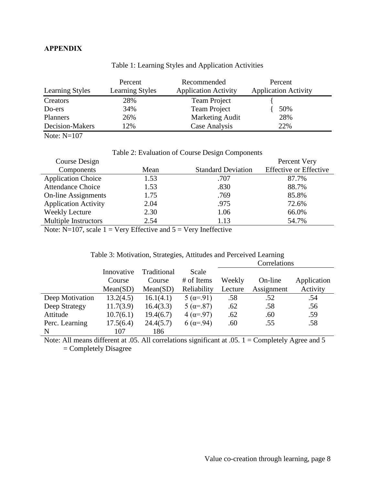# **APPENDIX**

|                        | Percent                | Recommended                 | Percent                     |
|------------------------|------------------------|-----------------------------|-----------------------------|
| <b>Learning Styles</b> | <b>Learning Styles</b> | <b>Application Activity</b> | <b>Application Activity</b> |
| Creators               | 28%                    | <b>Team Project</b>         |                             |
| Do-ers                 | 34%                    | <b>Team Project</b>         | 50%                         |
| <b>Planners</b>        | 26%                    | <b>Marketing Audit</b>      | 28%                         |
| Decision-Makers        | 12%                    | Case Analysis               | 22%                         |

# Table 1: Learning Styles and Application Activities

Note:  $N=107$ 

Table 2: Evaluation of Course Design Components

| Course Design               |      |                           | Percent Very                  |
|-----------------------------|------|---------------------------|-------------------------------|
| Components                  | Mean | <b>Standard Deviation</b> | <b>Effective or Effective</b> |
| <b>Application Choice</b>   | 1.53 | .707                      | 87.7%                         |
| <b>Attendance Choice</b>    | 1.53 | .830                      | 88.7%                         |
| <b>On-line Assignments</b>  | 1.75 | .769                      | 85.8%                         |
| <b>Application Activity</b> | 2.04 | .975                      | 72.6%                         |
| Weekly Lecture              | 2.30 | 1.06                      | 66.0%                         |
| <b>Multiple Instructors</b> | 2.54 | 1.13                      | 54.7%                         |
|                             |      |                           |                               |

Note:  $N=107$ , scale  $1 = \text{Very Effective}$  and  $5 = \text{Very Ineffective}$ 

| Table 3: Motivation, Strategies, Attitudes and Perceived Learning |  |  |
|-------------------------------------------------------------------|--|--|
|                                                                   |  |  |

|                 |            |             |                      | Correlations |            |             |
|-----------------|------------|-------------|----------------------|--------------|------------|-------------|
|                 | Innovative | Traditional | Scale                |              |            |             |
|                 | Course     | Course      | # of Items           | Weekly       | On-line    | Application |
|                 | Mean(SD)   | Mean(SD)    | Reliability          | Lecture      | Assignment | Activity    |
| Deep Motivation | 13.2(4.5)  | 16.1(4.1)   | $5(\alpha = 91)$     | .58          | .52        | .54         |
| Deep Strategy   | 11.7(3.9)  | 16.4(3.3)   | $5(\alpha = 87)$     | .62          | .58        | .56         |
| Attitude        | 10.7(6.1)  | 19.4(6.7)   | $4(\alpha = 97)$     | .62          | .60        | .59         |
| Perc. Learning  | 17.5(6.4)  | 24.4(5.7)   | 6 ( $\alpha = .94$ ) | .60          | .55        | .58         |
| N               | 107        | 186         |                      |              |            |             |

Note: All means different at .05. All correlations significant at .05. 1 = Completely Agree and 5 = Completely Disagree